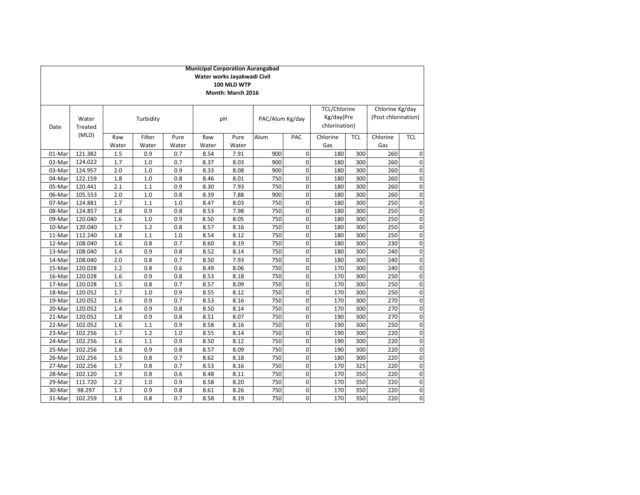|                  | <b>Municipal Corporation Aurangabad</b><br>Water works Jayakwadi Civil<br>100 MLD WTP<br>Month: March 2016 |              |                 |               |              |               |                 |             |                                                    |            |                                        |              |
|------------------|------------------------------------------------------------------------------------------------------------|--------------|-----------------|---------------|--------------|---------------|-----------------|-------------|----------------------------------------------------|------------|----------------------------------------|--------------|
| Date             | Water<br><b>Treated</b>                                                                                    |              | Turbidity       |               |              | pH            | PAC/Alum Kg/day |             | <b>TCL/Chlorine</b><br>Kg/day(Pre<br>chlorination) |            | Chlorine Kg/day<br>(Post chlorination) |              |
|                  | (MLD)                                                                                                      | Raw<br>Water | Filter<br>Water | Pure<br>Water | Raw<br>Water | Pure<br>Water | Alum            | PAC         | Chlorine<br>Gas                                    | <b>TCL</b> | Chlorine<br>Gas                        | <b>TCL</b>   |
| 01-Mar           | 121.382                                                                                                    | 1.5          | 0.9             | 0.7           | 8.54         | 7.91          | 900             | $\mathbf 0$ | 180                                                | 300        | 260                                    | C            |
|                  | 124.022                                                                                                    | 1.7          | 1.0             | 0.7           |              |               | 900             | $\mathbf 0$ |                                                    | 300        |                                        |              |
| 02-Mar<br>03-Mar | 124.957                                                                                                    | 2.0          | 1.0             | 0.9           | 8.37<br>8.33 | 8.03<br>8.08  | 900             | 0           | 180<br>180                                         | 300        | 260<br>260                             | C<br>C       |
| 04-Mar           | 122.159                                                                                                    | 1.8          | 1.0             | 0.8           | 8.46         | 8.01          | 750             | 0           | 180                                                | 300        | 260                                    | C            |
| 05-Mar           | 120.441                                                                                                    | 2.1          | 1.1             | 0.9           | 8.30         | 7.93          | 750             | $\mathbf 0$ | 180                                                | 300        | 260                                    | C            |
| 06-Mar           | 105.553                                                                                                    | 2.0          | 1.0             | 0.8           | 8.39         | 7.88          | 900             | $\mathbf 0$ | 180                                                | 300        | 260                                    | C            |
| 07-Mar           | 124.881                                                                                                    | 1.7          | 1.1             | 1.0           | 8.47         | 8.03          | 750             | $\mathbf 0$ | 180                                                | 300        | 250                                    | $\mathsf{C}$ |
| 08-Mar           | 124.857                                                                                                    | 1.8          | 0.9             | 0.8           | 8.53         | 7.98          | 750             | $\mathbf 0$ | 180                                                | 300        | 250                                    | C            |
| 09-Mar           | 120.040                                                                                                    | 1.6          | 1.0             | 0.9           | 8.50         | 8.05          | 750             | $\mathbf 0$ | 180                                                | 300        | 250                                    | C            |
| 10-Mar           | 120.040                                                                                                    | 1.7          | 1.2             | 0.8           | 8.57         | 8.16          | 750             | $\mathbf 0$ | 180                                                | 300        | 250                                    | C            |
| 11-Mar           | 112.240                                                                                                    | 1.8          | 1.1             | 1.0           | 8.54         | 8.12          | 750             | 0           | 180                                                | 300        | 250                                    | C            |
| 12-Mar           | 108.040                                                                                                    | 1.6          | 0.8             | 0.7           | 8.60         | 8.19          | 750             | $\mathbf 0$ | 180                                                | 300        | 230                                    | C            |
| 13-Mar           | 108.040                                                                                                    | 1.4          | 0.9             | 0.8           | 8.52         | 8.14          | 750             | 0           | 180                                                | 300        | 240                                    | C            |
| 14-Mar           | 108.040                                                                                                    | 2.0          | 0.8             | 0.7           | 8.50         | 7.93          | 750             | 0           | 180                                                | 300        | 240                                    | C            |
| 15-Mar           | 120.028                                                                                                    | 1.2          | 0.8             | 0.6           | 8.49         | 8.06          | 750             | 0           | 170                                                | 300        | 240                                    | C            |
| 16-Mar           | 120.028                                                                                                    | 1.6          | 0.9             | 0.8           | 8.53         | 8.18          | 750             | $\mathbf 0$ | 170                                                | 300        | 250                                    | C            |
| 17-Mar           | 120.028                                                                                                    | 1.5          | 0.8             | 0.7           | 8.57         | 8.09          | 750             | $\mathbf 0$ | 170                                                | 300        | 250                                    | $\mathsf{C}$ |
| 18-Mar           | 120.052                                                                                                    | 1.7          | 1.0             | 0.9           | 8.55         | 8.12          | 750             | $\pmb{0}$   | 170                                                | 300        | 250                                    | C            |
| 19-Mar           | 120.052                                                                                                    | 1.6          | 0.9             | 0.7           | 8.53         | 8.16          | 750             | $\pmb{0}$   | 170                                                | 300        | 270                                    | C            |
| 20-Mar           | 120.052                                                                                                    | 1.4          | 0.9             | 0.8           | 8.50         | 8.14          | 750             | $\mathbf 0$ | 170                                                | 300        | 270                                    | C            |
| 21-Mar           | 120.052                                                                                                    | 1.8          | 0.9             | 0.8           | 8.51         | 8.07          | 750             | $\mathbf 0$ | 190                                                | 300        | 270                                    | C            |
| 22-Mar           | 102.052                                                                                                    | 1.6          | 1.1             | 0.9           | 8.58         | 8.16          | 750             | $\mathbf 0$ | 190                                                | 300        | 250                                    | C            |
| 23-Mar           | 102.256                                                                                                    | 1.7          | 1.2             | 1.0           | 8.55         | 8.14          | 750             | $\mathbf 0$ | 190                                                | 300        | 220                                    | C            |
| 24-Mar           | 102.256                                                                                                    | 1.6          | 1.1             | 0.9           | 8.50         | 8.12          | 750             | 0           | 190                                                | 300        | 220                                    | C            |
| 25-Mar           | 102.256                                                                                                    | 1.8          | 0.9             | 0.8           | 8.57         | 8.09          | 750             | $\mathbf 0$ | 190                                                | 300        | 220                                    | C            |
| 26-Mar           | 102.256                                                                                                    | 1.5          | 0.8             | 0.7           | 8.62         | 8.18          | 750             | $\mathbf 0$ | 180                                                | 300        | 220                                    | C            |
| 27-Mar           | 102.256                                                                                                    | 1.7          | 0.8             | 0.7           | 8.53         | 8.16          | 750             | $\mathbf 0$ | 170                                                | 325        | 220                                    | C            |
| 28-Mar           | 102.120                                                                                                    | 1.9          | 0.8             | 0.6           | 8.48         | 8.11          | 750             | $\mathbf 0$ | 170                                                | 350        | 220                                    | C            |
| 29-Mar           | 111.720                                                                                                    | 2.2          | 1.0             | 0.9           | 8.58         | 8.20          | 750             | $\mathbf 0$ | 170                                                | 350        | 220                                    | C            |
| 30-Mar           | 98.297                                                                                                     | 1.7          | 0.9             | 0.8           | 8.61         | 8.26          | 750             | 0           | 170                                                | 350        | 220                                    | C            |
| 31-Mar           | 102.259                                                                                                    | 1.8          | 0.8             | 0.7           | 8.58         | 8.19          | 750             | $\mathbf 0$ | 170                                                | 350        | 220                                    | $\mathsf{C}$ |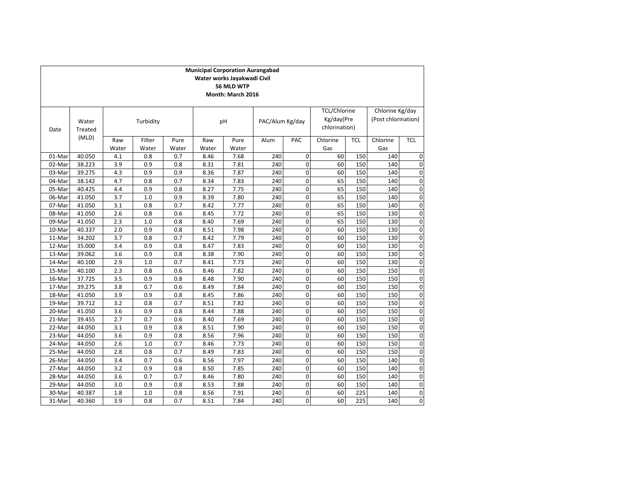| <b>Municipal Corporation Aurangabad</b><br>Water works Jayakwadi Civil |                                        |       |           |       |       |       |                 |                |               |            |                     |             |
|------------------------------------------------------------------------|----------------------------------------|-------|-----------|-------|-------|-------|-----------------|----------------|---------------|------------|---------------------|-------------|
|                                                                        | 56 MLD WTP                             |       |           |       |       |       |                 |                |               |            |                     |             |
|                                                                        | Month: March 2016                      |       |           |       |       |       |                 |                |               |            |                     |             |
|                                                                        |                                        |       |           |       |       |       |                 |                |               |            |                     |             |
|                                                                        | <b>TCL/Chlorine</b><br>Chlorine Kg/day |       |           |       |       |       |                 |                |               |            |                     |             |
|                                                                        | Water                                  |       | Turbidity |       |       | pH    | PAC/Alum Kg/day |                | Kg/day(Pre    |            | (Post chlorination) |             |
| Date                                                                   | Treated                                |       |           |       |       |       |                 |                | chlorination) |            |                     |             |
|                                                                        | (MLD)                                  |       |           |       |       |       |                 |                |               |            |                     |             |
|                                                                        |                                        | Raw   | Filter    | Pure  | Raw   | Pure  | Alum            | PAC            | Chlorine      | <b>TCL</b> | Chlorine            | <b>TCL</b>  |
|                                                                        |                                        | Water | Water     | Water | Water | Water |                 |                | Gas           |            | Gas                 |             |
| 01-Mar                                                                 | 40.050                                 | 4.1   | 0.8       | 0.7   | 8.46  | 7.68  | 240             | $\mathbf 0$    | 60            | 150        | 140                 | 0           |
| 02-Mar                                                                 | 38.223                                 | 3.9   | 0.9       | 0.8   | 8.31  | 7.81  | 240             | 0              | 60            | 150        | 140                 | $\mathbf 0$ |
| 03-Mar                                                                 | 39.275                                 | 4.3   | 0.9       | 0.9   | 8.36  | 7.87  | 240             | $\mathbf 0$    | 60            | 150        | 140                 | $\mathbf 0$ |
| 04-Mar                                                                 | 38.142                                 | 4.7   | 0.8       | 0.7   | 8.34  | 7.83  | 240             | $\mathbf 0$    | 65            | 150        | 140                 | $\mathbf 0$ |
| 05-Mar                                                                 | 40.425                                 | 4.4   | 0.9       | 0.8   | 8.27  | 7.75  | 240             | 0              | 65            | 150        | 140                 | 0           |
| 06-Mar                                                                 | 41.050                                 | 3.7   | 1.0       | 0.9   | 8.39  | 7.80  | 240             | $\mathbf 0$    | 65            | 150        | 140                 | $\mathbf 0$ |
| 07-Mar                                                                 | 41.050                                 | 3.1   | 0.8       | 0.7   | 8.42  | 7.77  | 240             | 0              | 65            | 150        | 140                 | $\mathbf 0$ |
| 08-Mar                                                                 | 41.050                                 | 2.6   | 0.8       | 0.6   | 8.45  | 7.72  | 240             | $\mathbf 0$    | 65            | 150        | 130                 | 0           |
| 09-Mar                                                                 | 41.050                                 | 2.3   | 1.0       | 0.8   | 8.40  | 7.69  | 240             | $\mathbf 0$    | 65            | 150        | 130                 | $\mathbf 0$ |
| 10-Mar                                                                 | 40.337                                 | 2.0   | 0.9       | 0.8   | 8.51  | 7.98  | 240             | $\overline{0}$ | 60            | 150        | 130                 | 0           |
| 11-Mar                                                                 | 34.202                                 | 3.7   | 0.8       | 0.7   | 8.42  | 7.79  | 240             | $\mathbf 0$    | 60            | 150        | 130                 | 0           |
| 12-Mar                                                                 | 35.000                                 | 3.4   | 0.9       | 0.8   | 8.47  | 7.83  | 240             | 0              | 60            | 150        | 130                 | $\mathbf 0$ |
| 13-Mar                                                                 | 39.062                                 | 3.6   | 0.9       | 0.8   | 8.38  | 7.90  | 240             | $\mathbf 0$    | 60            | 150        | 130                 | $\mathbf 0$ |
| 14-Mar                                                                 | 40.100                                 | 2.9   | 1.0       | 0.7   | 8.41  | 7.73  | 240             | 0              | 60            | 150        | 130                 | 0           |
| 15-Mar                                                                 | 40.100                                 | 2.3   | 0.8       | 0.6   | 8.46  | 7.82  | 240             | $\mathbf 0$    | 60            | 150        | 150                 | 0           |
| 16-Mar                                                                 | 37.725                                 | 3.5   | 0.9       | 0.8   | 8.48  | 7.90  | 240             | $\overline{0}$ | 60            | 150        | 150                 | $\mathbf 0$ |
| 17-Mar                                                                 | 39.275                                 | 3.8   | 0.7       | 0.6   | 8.49  | 7.84  | 240             | $\mathbf 0$    | 60            | 150        | 150                 | $\mathbf 0$ |
| 18-Mar                                                                 | 41.050                                 | 3.9   | 0.9       | 0.8   | 8.45  | 7.86  | 240             | 0              | 60            | 150        | 150                 | $\mathbf 0$ |
| 19-Mar                                                                 | 39.712                                 | 3.2   | 0.8       | 0.7   | 8.51  | 7.82  | 240             | $\mathbf 0$    | 60            | 150        | 150                 | $\mathbf 0$ |
| 20-Mar                                                                 | 41.050                                 | 3.6   | 0.9       | 0.8   | 8.44  | 7.88  | 240             | $\Omega$       | 60            | 150        | 150                 | $\Omega$    |
| 21-Mar                                                                 | 39.455                                 | 2.7   | 0.7       | 0.6   | 8.40  | 7.69  | 240             | $\mathbf 0$    | 60            | 150        | 150                 | $\mathbf 0$ |
| 22-Mar                                                                 | 44.050                                 | 3.1   | 0.9       | 0.8   | 8.51  | 7.90  | 240             | $\mathbf 0$    | 60            | 150        | 150                 | $\mathbf 0$ |
| 23-Mar                                                                 | 44.050                                 | 3.6   | 0.9       | 0.8   | 8.56  | 7.96  | 240             | $\overline{0}$ | 60            | 150        | 150                 | $\mathbf 0$ |
| 24-Mar                                                                 | 44.050                                 | 2.6   | 1.0       | 0.7   | 8.46  | 7.73  | 240             | 0              | 60            | 150        | 150                 | 0           |
| 25-Mar                                                                 | 44.050                                 | 2.8   | 0.8       | 0.7   | 8.49  | 7.83  | 240             | 0              | 60            | 150        | 150                 | 0           |
| 26-Mar                                                                 | 44.050                                 | 3.4   | 0.7       | 0.6   | 8.56  | 7.97  | 240             | $\pmb{0}$      | 60            | 150        | 140                 | $\mathbf 0$ |
| 27-Mar                                                                 | 44.050                                 | 3.2   | 0.9       | 0.8   | 8.50  | 7.85  | 240             | $\mathbf 0$    | 60            | 150        | 140                 | $\mathbf 0$ |
| 28-Mar                                                                 | 44.050                                 | 3.6   | 0.7       | 0.7   | 8.46  | 7.80  | 240             | 0              | 60            | 150        | 140                 | 0           |
| 29-Mar                                                                 | 44.050                                 | 3.0   | 0.9       | 0.8   | 8.53  | 7.88  | 240             | 0              | 60            | 150        | 140                 | $\mathbf 0$ |
| 30-Mar                                                                 | 40.387                                 | 1.8   | 1.0       | 0.8   | 8.56  | 7.91  | 240             | 0              | 60            | 225        | 140                 | 0           |
| 31-Mar                                                                 | 40.360                                 | 3.9   | 0.8       | 0.7   | 8.51  | 7.84  | 240             | $\overline{0}$ | 60            | 225        | 140                 | $\Omega$    |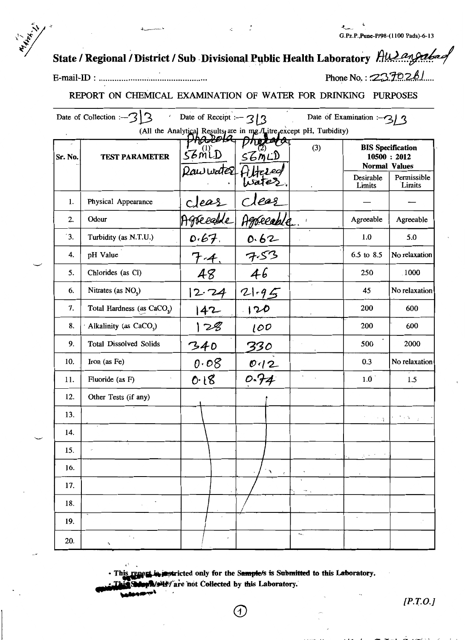## State / Regional / District / Sub Divisional Public Health Laboratory Hullangabas

Phone No.:  $2370261$ 

### REPORT ON CHEMICAL EXAMINATION OF WATER FOR DRINKING PURPOSES

|         | Date of Collection :- $3 3$            | Date of Receipt : $-3/3$                                                                  | Date of Examination : $-3/3$           |                      |                      |                                                                                                                                                                                   |
|---------|----------------------------------------|-------------------------------------------------------------------------------------------|----------------------------------------|----------------------|----------------------|-----------------------------------------------------------------------------------------------------------------------------------------------------------------------------------|
|         |                                        | (All the Analytical Results, are in mg./Litre, except pH, Turbidity)<br><del>MUULOV</del> |                                        |                      |                      |                                                                                                                                                                                   |
| Sr. No. | <b>TEST PARAMETER</b>                  | $56$ MLD                                                                                  | <i>UNITARY</i><br>56900                | (3)                  | <b>Normal Values</b> | <b>BIS Specification</b><br>10500 : 2012                                                                                                                                          |
|         |                                        | Rawwater Filtered                                                                         |                                        |                      | Desirable<br>Limits  | Permissible<br>Limits                                                                                                                                                             |
| 1.      | Physical Appearance                    |                                                                                           | clear                                  |                      |                      |                                                                                                                                                                                   |
| 2.      | Odour                                  | clear<br>Agreealle                                                                        | Agréeable.                             | $\it i$              | Agreeable            | Agreeable                                                                                                                                                                         |
| 3.      | Turbidity (as N.T.U.)                  |                                                                                           |                                        |                      | 1.0                  | 5.0                                                                                                                                                                               |
| 4.      | pH Value                               | $7 - 4$                                                                                   | 7.53                                   |                      | 6.5 to 8.5           | No relaxation                                                                                                                                                                     |
| 5.      | Chlorides (as Cl)                      | 48                                                                                        | 46                                     |                      | 250                  | 1000                                                                                                                                                                              |
| 6.      | Nitrates (as $NO3$ )                   | 12.74                                                                                     | $21 - 95$                              |                      | 45                   | No relaxation                                                                                                                                                                     |
| 7.      | Total Hardness (as CaCO <sub>3</sub> ) | 142                                                                                       | 120                                    |                      | 200                  | 600                                                                                                                                                                               |
| 8.      | Alkalinity (as CaCO <sub>3</sub> )     | 128                                                                                       | 100                                    |                      | 200                  | 600                                                                                                                                                                               |
| 9.      | <b>Total Dissolved Solids</b>          | 340                                                                                       | 330                                    |                      | 500                  | 2000                                                                                                                                                                              |
| 10.     | Iron (as Fe)                           | 0.08                                                                                      | $rac{0.12}{0.74}$                      |                      | 0.3                  | No relaxation                                                                                                                                                                     |
| 11.     | Fluoride (as F)                        | 0.18                                                                                      |                                        |                      | 1.0                  | 1.5                                                                                                                                                                               |
| 12.     | Other Tests (if any)                   |                                                                                           |                                        |                      |                      |                                                                                                                                                                                   |
| 13.     |                                        |                                                                                           |                                        |                      |                      | $\mathcal{L}^{\mathcal{A}}\left(\mathcal{A}\right)=\mathcal{L}^{\mathcal{A}}\left(\mathcal{A}\right)=\mathcal{L}^{\mathcal{A}}\left(\mathcal{A}\right)=\mathcal{L}^{\mathcal{A}}$ |
| 14.     |                                        |                                                                                           |                                        |                      |                      |                                                                                                                                                                                   |
| 15.     |                                        |                                                                                           |                                        |                      | dia in               |                                                                                                                                                                                   |
| 16.     |                                        |                                                                                           | $\epsilon$<br>$\mathfrak{g}^{\bullet}$ |                      |                      |                                                                                                                                                                                   |
| 17.     |                                        |                                                                                           |                                        |                      |                      |                                                                                                                                                                                   |
| 18.     |                                        |                                                                                           |                                        |                      |                      |                                                                                                                                                                                   |
| 19.     |                                        | $\epsilon$                                                                                |                                        |                      | $\Box$               |                                                                                                                                                                                   |
| 20.     | ٠.<br>٨                                | $\pmb{\cdot}$                                                                             |                                        | $\star_{\mathsf{m}}$ |                      |                                                                                                                                                                                   |

· This report in instricted only for the Sample/s is Submitted to this Laboratory.

T

**Mole is the mot Collected by this Laboratory.** 

 $[P.T.O.]$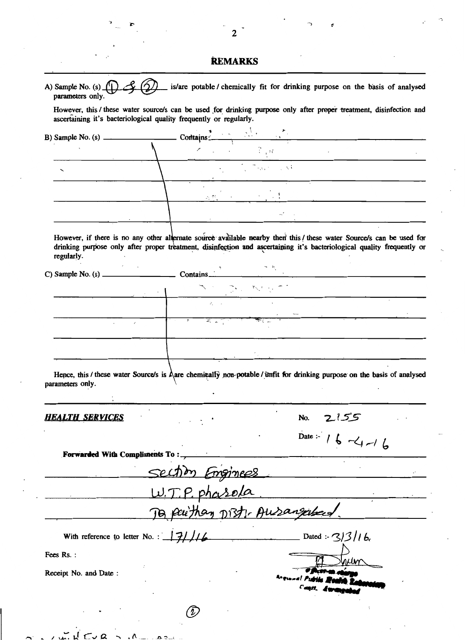| A) Sample No. (s) $\[\n\iint$<br>parameters only.                  | is/are potable / chemically fit for drinking purpose on the basis of analysed                                                                                                                                                                                                                                                                                        |
|--------------------------------------------------------------------|----------------------------------------------------------------------------------------------------------------------------------------------------------------------------------------------------------------------------------------------------------------------------------------------------------------------------------------------------------------------|
| ascertaining it's bacteriological quality frequently or regularly. | However, this / these water source/s can be used for drinking purpose only after proper treatment, disinfection and                                                                                                                                                                                                                                                  |
| B) Sample No. (s) $\frac{1}{2}$                                    | Contains $\frac{1}{1}$                                                                                                                                                                                                                                                                                                                                               |
|                                                                    |                                                                                                                                                                                                                                                                                                                                                                      |
|                                                                    | $\mathcal{L} = \frac{1}{2} \sum_{i=1}^{n} \frac{1}{2} \sum_{i=1}^{n} \frac{1}{2} \sum_{i=1}^{n} \frac{1}{2} \sum_{i=1}^{n} \frac{1}{2} \sum_{i=1}^{n} \frac{1}{2} \sum_{i=1}^{n} \frac{1}{2} \sum_{i=1}^{n} \frac{1}{2} \sum_{i=1}^{n} \frac{1}{2} \sum_{i=1}^{n} \frac{1}{2} \sum_{i=1}^{n} \frac{1}{2} \sum_{i=1}^{n} \frac{1}{2} \sum_{i=1}^{n} \frac{1}{2} \sum$ |
|                                                                    | $\mathcal{L}(\mathcal{B}_1) = \{ \mathcal{L}(\mathcal{B}_1) \mid \mathcal{L}(\mathcal{B}_2) \leq \mathcal{L}(\mathcal{B}_1) \leq \mathcal{L}(\mathcal{B}_2) \}$                                                                                                                                                                                                      |
|                                                                    |                                                                                                                                                                                                                                                                                                                                                                      |
| regularly.                                                         | However, if there is no any other alternate source available nearby then this/these water Source/s can be used for<br>drinking purpose only after proper treatment, disinfection and ascertaining it's bacteriological quality frequently or                                                                                                                         |
|                                                                    |                                                                                                                                                                                                                                                                                                                                                                      |
| $\mathcal{L}_{\mathcal{A}}$ , and $\mathcal{L}_{\mathcal{A}}$      | state of the first parties                                                                                                                                                                                                                                                                                                                                           |
|                                                                    |                                                                                                                                                                                                                                                                                                                                                                      |
|                                                                    | $\overline{r}$                                                                                                                                                                                                                                                                                                                                                       |
|                                                                    |                                                                                                                                                                                                                                                                                                                                                                      |
|                                                                    |                                                                                                                                                                                                                                                                                                                                                                      |
| parameters only.                                                   | Hence, this / these water Source/s is Aare chemically non-potable / unfit for drinking purpose on the basis of analysed                                                                                                                                                                                                                                              |
| <b>HEALTH SERVICES</b>                                             | No.                                                                                                                                                                                                                                                                                                                                                                  |
|                                                                    | Date :- 16 -4 -16                                                                                                                                                                                                                                                                                                                                                    |
| Forwarded With Compliments To:                                     | Section<br><u>mginees</u>                                                                                                                                                                                                                                                                                                                                            |
|                                                                    |                                                                                                                                                                                                                                                                                                                                                                      |
|                                                                    | To paither Dist: Ausangabed.                                                                                                                                                                                                                                                                                                                                         |
| With reference to letter No. : $\frac{1}{2}$ //6                   | Dated : $3/3/16$                                                                                                                                                                                                                                                                                                                                                     |
| Fees Rs.:                                                          |                                                                                                                                                                                                                                                                                                                                                                      |
| Receipt No. and Date:                                              |                                                                                                                                                                                                                                                                                                                                                                      |
|                                                                    |                                                                                                                                                                                                                                                                                                                                                                      |

∽.  $\lambda$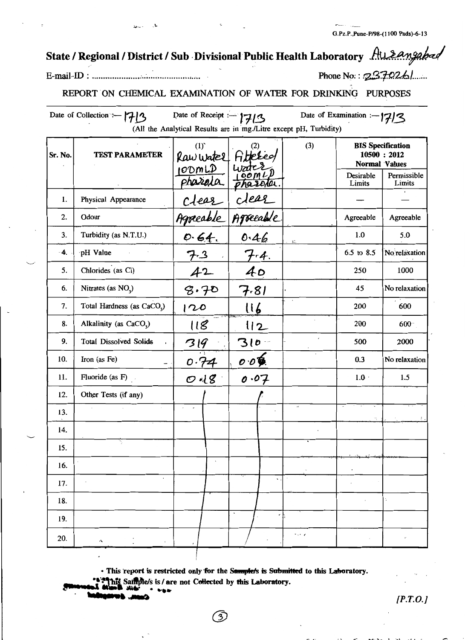G.Pz.P., Pune-P/98-(1100 Pads)-6-13

# State / Regional / District / Sub Divisional Public Health Laboratory Ausangabad

Phone No.: 237026/.....

## REPORT ON CHEMICAL EXAMINATION OF WATER FOR DRINKING PURPOSES

| Date of Examination :- $ 7 3$<br>Date of Collection :- 1713<br>Date of Receipt :- $77/3$<br>(All the Analytical Results are in mg./Litre except pH, Turbidity) |                                        |                                                                  |                                           |          |                      |                                          |  |  |
|----------------------------------------------------------------------------------------------------------------------------------------------------------------|----------------------------------------|------------------------------------------------------------------|-------------------------------------------|----------|----------------------|------------------------------------------|--|--|
| Sr. No.                                                                                                                                                        | <b>TEST PARAMETER</b>                  | (1)<br>Raw writer Fibresied<br>100mLD writer<br>pharala pharala. |                                           | (3)      | <b>Normal Values</b> | <b>BIS Specification</b><br>10500 : 2012 |  |  |
|                                                                                                                                                                |                                        |                                                                  |                                           |          | Desirable<br>Limits  | Permissible<br>Limits                    |  |  |
| 1.                                                                                                                                                             | Physical Appearance                    | clear                                                            | dear                                      |          |                      |                                          |  |  |
| 2.                                                                                                                                                             | Odour                                  | Agreeable                                                        | Agreeable                                 |          | Agreeable            | Agreeable                                |  |  |
| 3.                                                                                                                                                             | Turbidity (as N.T.U.)                  | 0.64.                                                            | 0.46                                      |          | 1.0                  | 5.0                                      |  |  |
| -4.                                                                                                                                                            | pH Value                               |                                                                  | $7 - 4.$                                  |          | 6.5 to 8.5           | No relaxation                            |  |  |
| 5.                                                                                                                                                             | Chlorides (as Cl)                      | 42                                                               | 40                                        |          | 250                  | 1000                                     |  |  |
| 6.                                                                                                                                                             | Nitrates (as NO <sub>2</sub> )         | 8.70                                                             | 7.81                                      |          | 45                   | No relaxation                            |  |  |
| 7.                                                                                                                                                             | Total Hardness (as CaCO <sub>3</sub> ) | 120                                                              | $\lfloor \lceil \cdot \rceil \rfloor$     |          | 200                  | 600                                      |  |  |
| 8.                                                                                                                                                             | Alkalinity (as CaCO <sub>3</sub> )     | 118                                                              | 112                                       |          | 200                  | $600 -$                                  |  |  |
| 9.                                                                                                                                                             | <b>Total Dissolved Solids</b>          | 319                                                              | $310 -$                                   |          | 500                  | 2000                                     |  |  |
| 10.                                                                                                                                                            | Iron (as Fe)<br>-                      | 0.74                                                             | $\mathcal{O}$ $\mathcal{O}$ $\mathcal{O}$ |          | 0.3                  | No relaxation                            |  |  |
| 11.                                                                                                                                                            | Fluoride (as F)                        | $O$ il $g$                                                       | 0.07                                      |          | $1.0 \cdot$          | 1.5                                      |  |  |
| 12.                                                                                                                                                            | Other Tests (if any)                   |                                                                  |                                           |          |                      |                                          |  |  |
| 13.                                                                                                                                                            |                                        |                                                                  |                                           | <b>A</b> | Ч.                   |                                          |  |  |
| 14.                                                                                                                                                            |                                        |                                                                  |                                           |          |                      |                                          |  |  |
| 15.                                                                                                                                                            |                                        |                                                                  |                                           |          |                      |                                          |  |  |
| 16.                                                                                                                                                            |                                        | $\epsilon$                                                       |                                           |          |                      |                                          |  |  |
| 17.                                                                                                                                                            | ٠                                      |                                                                  | ч.                                        |          |                      |                                          |  |  |
| 18.                                                                                                                                                            |                                        |                                                                  |                                           |          |                      | $\ddot{\phantom{a}}$                     |  |  |
| 19.                                                                                                                                                            |                                        |                                                                  | $\bullet$<br>٠                            |          |                      |                                          |  |  |
| 20.                                                                                                                                                            | $\boldsymbol{\cdot}$                   |                                                                  |                                           | م جہ ج   |                      |                                          |  |  |

· This report is restricted only for the Samplet's is Submitted to this Laboratory. Sailtyle/s is / are not Collected by this Laboratory.

3

 $[$ *P.T.O.* $]$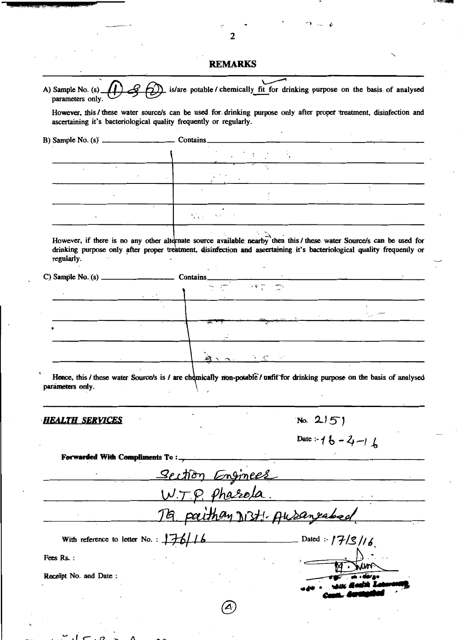## **REMARKS**

| However, this / these water source/s can be used for drinking purpose only after proper treatment, disinfection and    |                                                                 |                                                                                                                                                                                                                                                         |                                                    |                                                                                                                           |  |
|------------------------------------------------------------------------------------------------------------------------|-----------------------------------------------------------------|---------------------------------------------------------------------------------------------------------------------------------------------------------------------------------------------------------------------------------------------------------|----------------------------------------------------|---------------------------------------------------------------------------------------------------------------------------|--|
| ascertaining it's bacteriological quality frequently or regularly.                                                     |                                                                 |                                                                                                                                                                                                                                                         |                                                    |                                                                                                                           |  |
|                                                                                                                        |                                                                 |                                                                                                                                                                                                                                                         |                                                    |                                                                                                                           |  |
|                                                                                                                        |                                                                 |                                                                                                                                                                                                                                                         |                                                    |                                                                                                                           |  |
|                                                                                                                        |                                                                 | $\mathcal{L}_{\mathcal{A}}$ and $\mathcal{L}_{\mathcal{A}}$ are the subset of the subset of the subset of the subset of the subset of the subset of the subset of the subset of the subset of the subset of the subset of the subset of the subset of t |                                                    |                                                                                                                           |  |
|                                                                                                                        |                                                                 |                                                                                                                                                                                                                                                         |                                                    |                                                                                                                           |  |
|                                                                                                                        | $\zeta_{\rm eff}$ and $\zeta$<br>$\mathcal{N}_{\text{c}}$ ) and |                                                                                                                                                                                                                                                         |                                                    |                                                                                                                           |  |
|                                                                                                                        |                                                                 |                                                                                                                                                                                                                                                         |                                                    |                                                                                                                           |  |
| However, if there is no any other alternate source available nearby then this / these water Source/s can be used for   |                                                                 |                                                                                                                                                                                                                                                         |                                                    |                                                                                                                           |  |
| drinking purpose only after proper treatment, disinfection and ascertaining it's bacteriological quality frequently or |                                                                 |                                                                                                                                                                                                                                                         |                                                    |                                                                                                                           |  |
| regularly.                                                                                                             |                                                                 |                                                                                                                                                                                                                                                         |                                                    |                                                                                                                           |  |
|                                                                                                                        |                                                                 | $\frac{1}{\sqrt{1-\frac{1}{2}}}\left(\frac{1}{\sqrt{1-\frac{1}{2}}}\right)^{\frac{1}{2}}$                                                                                                                                                               |                                                    | <u> San Amerikaanse van die San Amerikaanse van die San Amerikaanse van die San Amerikaanse van die San Amerikaanse v</u> |  |
| <u> 1989 - Johann Barn, amerikansk f</u>                                                                               |                                                                 |                                                                                                                                                                                                                                                         |                                                    |                                                                                                                           |  |
|                                                                                                                        |                                                                 |                                                                                                                                                                                                                                                         |                                                    |                                                                                                                           |  |
|                                                                                                                        |                                                                 |                                                                                                                                                                                                                                                         | <u> 1999 - Agoston Barnett, amerikan menyebarn</u> |                                                                                                                           |  |
|                                                                                                                        |                                                                 |                                                                                                                                                                                                                                                         |                                                    |                                                                                                                           |  |
|                                                                                                                        |                                                                 |                                                                                                                                                                                                                                                         |                                                    |                                                                                                                           |  |
|                                                                                                                        |                                                                 |                                                                                                                                                                                                                                                         |                                                    |                                                                                                                           |  |
|                                                                                                                        |                                                                 |                                                                                                                                                                                                                                                         |                                                    |                                                                                                                           |  |
| Hence, this / these water Source/s is / are chemically non-potable/unfit for drinking purpose on the basis of analysed |                                                                 |                                                                                                                                                                                                                                                         |                                                    |                                                                                                                           |  |
| parameters only.                                                                                                       |                                                                 |                                                                                                                                                                                                                                                         |                                                    |                                                                                                                           |  |
|                                                                                                                        |                                                                 |                                                                                                                                                                                                                                                         |                                                    |                                                                                                                           |  |
| HEALTH SERVICES                                                                                                        |                                                                 |                                                                                                                                                                                                                                                         | $N_0$ . 215)                                       |                                                                                                                           |  |
|                                                                                                                        |                                                                 |                                                                                                                                                                                                                                                         |                                                    |                                                                                                                           |  |
|                                                                                                                        |                                                                 |                                                                                                                                                                                                                                                         | Date: $16 - 2 - 16$                                |                                                                                                                           |  |
| <b>Forwarded With Compliments To:</b>                                                                                  |                                                                 |                                                                                                                                                                                                                                                         |                                                    |                                                                                                                           |  |
|                                                                                                                        |                                                                 |                                                                                                                                                                                                                                                         |                                                    |                                                                                                                           |  |
|                                                                                                                        |                                                                 | Section Enginees                                                                                                                                                                                                                                        |                                                    |                                                                                                                           |  |
|                                                                                                                        |                                                                 | Ta paithan Dist: Ausaneabed                                                                                                                                                                                                                             |                                                    |                                                                                                                           |  |
| With reference to letter No. : $176/16$                                                                                |                                                                 | Dated :- $17/3/16$                                                                                                                                                                                                                                      |                                                    |                                                                                                                           |  |
| Fees Rs.:                                                                                                              |                                                                 |                                                                                                                                                                                                                                                         |                                                    |                                                                                                                           |  |
|                                                                                                                        |                                                                 |                                                                                                                                                                                                                                                         |                                                    |                                                                                                                           |  |
| Receipt No. and Date:                                                                                                  |                                                                 |                                                                                                                                                                                                                                                         |                                                    |                                                                                                                           |  |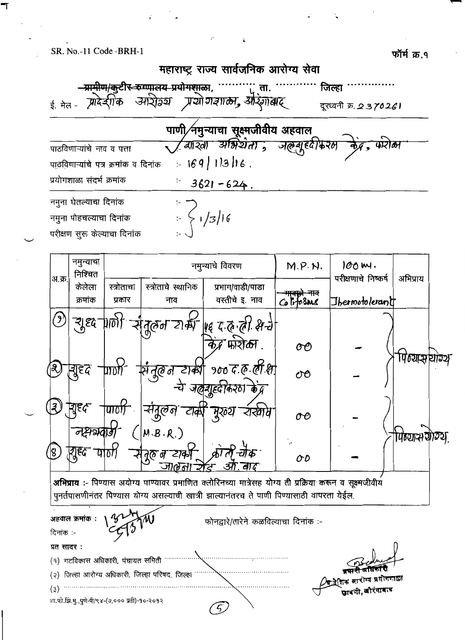फॉर्म क्र.१



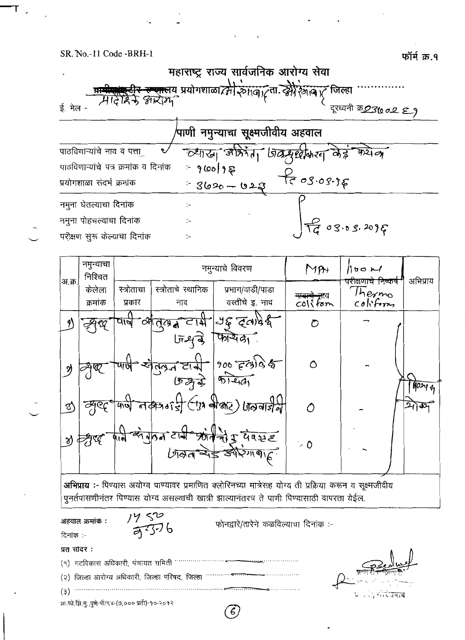

|               | د. ۰<br>$\cdots$<br>निश्चित |            |                             | नमुन्याच विवरण                                         | $M$ pr                   | $\frac{1}{100}$ bo $\frac{1}{100}$ | अभिप्राय   |
|---------------|-----------------------------|------------|-----------------------------|--------------------------------------------------------|--------------------------|------------------------------------|------------|
| अ.क्र.        | केलेला                      | स्त्रोताचा | स्त्रोताचे स्थानिक          | प्रभाग/वाडी/पाडा                                       | <del>माबाबे न्</del> राव | परीक्षणाचे निष्कर्ष<br>Thermo      |            |
|               | क्रमांक                     | प्रकार     | नाव                         | वस्तीचे इ. नाव                                         | col( <sub>form</sub> )   | colifom                            |            |
|               |                             | पान        | $\frac{1}{2}$ $\frac{1}{2}$ | $\frac{1}{3}$ and $\frac{1}{3}$                        | O                        |                                    |            |
|               |                             |            | $59 - 7$                    | फायेदा.                                                |                          |                                    |            |
| d)            |                             |            | लंग्रेज टार्ट्स             | $900$ $590$                                            | ٥                        |                                    |            |
|               |                             |            | 5772                        | $\sqrt{q_{12}}$                                        |                          |                                    | 40244      |
| $\mathcal{A}$ | ব্                          |            |                             | $\frac{100}{400}$ or the $\frac{100}{400}$ of the fine | ∧                        |                                    | $217 - 32$ |
|               | প্ৰ লীৰ্থ                   |            |                             | क्षे एक टार्स आतंको कु पेष्स्ट                         |                          |                                    |            |
|               |                             |            |                             | $b$ अला चेई औरंगा काह                                  | $\sim$ 0                 |                                    |            |
|               |                             |            |                             |                                                        |                          |                                    |            |

अभिप्राय :- पिण्यास अयोग्य पाण्यावर प्रमाणित क्लोरिनच्या मात्रेसह योग्य ती प्रक्रिया करून व सूक्ष्मजीवीय पुनर्तपासणीनंतर पिण्यास योग्य असल्याची खात्री झाल्यानंतरच ते पाणी पिण्यासाठी वापरता येईल.

अहवाल क्रमांक : टिनांक :-

 $1450$ <br> $7506$ 

फोनद्वारे/तारेने कळविल्याचा दिनांक :-

| $\sim$ $\sim$                                                                    |                                                                                                                                                  |
|----------------------------------------------------------------------------------|--------------------------------------------------------------------------------------------------------------------------------------------------|
| प्रत सादर :                                                                      |                                                                                                                                                  |
| (१) गटविकास अधिकारी, पंचायत समिती                                                | Pedruf                                                                                                                                           |
|                                                                                  | ا ساستان استان استان استان است.<br>استان استان استان استان استان استان استان استان استان استان استان استان استان استان استان استان استان استان ا |
|                                                                                  | $\begin{bmatrix} \mathbf{L} & \cdots & \mathbf{L} \end{bmatrix} = \begin{bmatrix} \mathbf{L} & \mathbf{L} & \mathbf{L} \end{bmatrix}$            |
| $\pi$ is $\hat{H}$ if $\pi$ is $\hat{m}$ - $\hat{m}/8$ x = $(9,0,0,0,0,0,0,0,0)$ |                                                                                                                                                  |

 $\epsilon$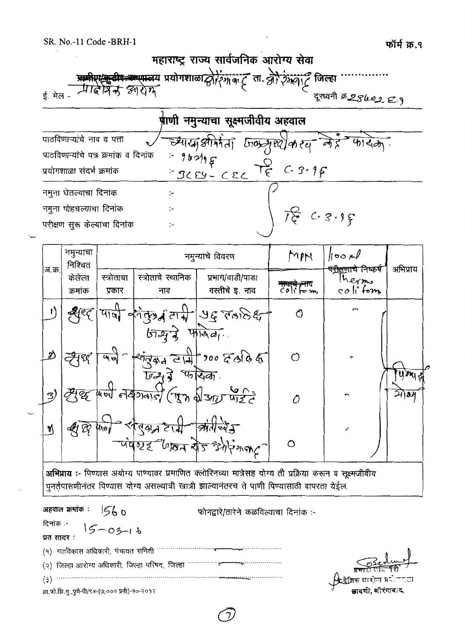| महाराष्ट्र राज्य सार्वजनिक आरोग्य सेवा                                                                              |               |                                       |  |  |  |  |  |
|---------------------------------------------------------------------------------------------------------------------|---------------|---------------------------------------|--|--|--|--|--|
|                                                                                                                     |               |                                       |  |  |  |  |  |
| प्राथमिण कुटीर अन्यास्वय प्रयोगशाळा द्वीरिंगा पर ता. और रेग्सगार्ट जिल्हा<br><u>ई. मेल -</u><br>दरध्यनी के 25602 29 |               |                                       |  |  |  |  |  |
| <b>र्राणी नमुन्याचा सूक्ष्मजीवीय अहवा</b> ल                                                                         |               |                                       |  |  |  |  |  |
| पाठविणाऱ्यांचे नाव व पत्ता                                                                                          |               | च्याया झीमेता जिल्लुछीकरव मेह         |  |  |  |  |  |
| पाठविणाऱ्यांचे पत्र क्रमांक व दिनांक                                                                                |               |                                       |  |  |  |  |  |
| प्रयोगशाळा संदर्भ क्रमांक                                                                                           |               | $-96995$<br>= $3659 - C22$<br>= $222$ |  |  |  |  |  |
| नमुना घेतल्याचा दिनांक                                                                                              | $\mathcal{L}$ |                                       |  |  |  |  |  |
| नमुना पोहचल्याचा दिनांक                                                                                             |               |                                       |  |  |  |  |  |
| परीक्षण सूरू केल्याचा दिनांक                                                                                        | ÷.            | 荷 C.3.99                              |  |  |  |  |  |
|                                                                                                                     |               |                                       |  |  |  |  |  |
| नमन्याचा                                                                                                            |               | <b>A</b> $\sim$ $\sim$ $\sim$         |  |  |  |  |  |

|        | नमुन्याचा<br>निश्चित |                      |                                                                      | नमुन्याचे विवरण                                                                   | MM                                     | 100M<br><del>प<u>रीक्षण</u>ाये निष्कर्ष</del> | अभिप्राय |  |
|--------|----------------------|----------------------|----------------------------------------------------------------------|-----------------------------------------------------------------------------------|----------------------------------------|-----------------------------------------------|----------|--|
| अ.क्र. | केलेला<br>क्रमांक    | स्त्रोताचा<br>प्रकार | स्त्रोताचे स्थानिक<br>नाव                                            | प्रभाग/वाडी/पाडा<br>वस्तीचे इ. नाव                                                | $\ddot{c}$ on $\ddot{c}$ in $\ddot{c}$ | Thermo<br>$co$ li form                        |          |  |
|        | श्रुष्ट              |                      |                                                                      | $\frac{1}{2}$ and the property                                                    | O                                      | Ç                                             |          |  |
|        |                      | याण                  | $b\overrightarrow{a}$ where $\overrightarrow{a}$<br>जन्म ने पत्रदेखा | $-\frac{1}{294224}$ 214 300 23666                                                 | ርገ                                     |                                               | 424.     |  |
| ි)     |                      |                      | Ele May elsone (it ) for the face                                    |                                                                                   | Λ                                      |                                               | $21)$ al |  |
|        | $\mathscr{B}$        | flood                |                                                                      | $\frac{1}{2}$<br>र्वातुक्रम हायी कार्याच्यड़<br>-पंपण्टह जिल्ला योज डेगेरिंग अट्ट | $\Omega$                               |                                               |          |  |

अभिप्राय :- पिण्यास अयोग्य पाण्यावर प्रमाणित क्लोरिनच्या मात्रेसह योग्य ती प्रक्रिया करून व सूक्ष्मजीवीय .<br>पुनर्तपासणीनंतर पिण्यास योग्य असल्याची खात्री झाल्यानंतरच ते पाणी पिण्यासाठी वापरता येईल.

| अहवाल क्रमांक :                                 | फोनद्वारे/तारेने कळविल्याचा दिनांक :- |                                              |
|-------------------------------------------------|---------------------------------------|----------------------------------------------|
| दिनाक :-<br>प्रत सादर :<br>$15 - 03 - 16$       |                                       |                                              |
|                                                 |                                       |                                              |
| (१) गटविकास अधिकारी, पंचायत समिती               |                                       |                                              |
| (२) जिल्हा आरोग्य अधिकारी, जिल्हा परिषद, जिल्हा |                                       |                                              |
| (3)                                             |                                       | ्री देशिक आरोप प्रयोगनाटा<br>खादणी, औरंगाबाद |
| शा.फो.झि.मु.,पुणे-पी/९४-(७,००० प्रती)-१०-२०१२   |                                       |                                              |
|                                                 |                                       |                                              |

 $\tau$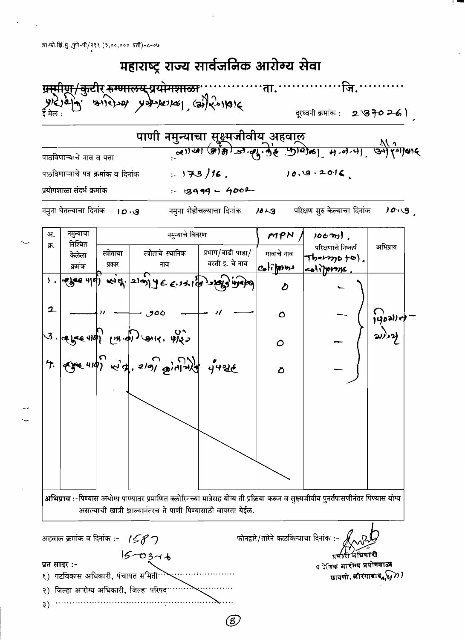

(8)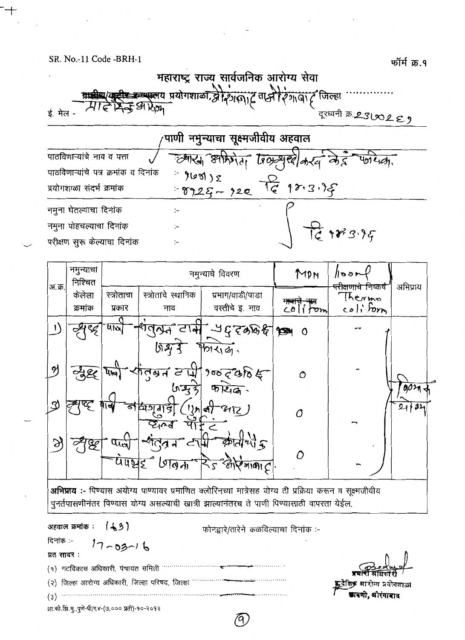

| <sup>,</sup> पाणी नमुन्याचा सूक्ष्मजीवीय अहवाल |                       |                                        |  |  |  |  |
|------------------------------------------------|-----------------------|----------------------------------------|--|--|--|--|
| पाठविणाऱ्यांचे नाव व पत्ता                     |                       | ल्यारा आफ्रिया पिल अर्था के देव पर्णये |  |  |  |  |
| पाठविणाऱ्यांचे पत्र क्रमांक व दिनांक           |                       |                                        |  |  |  |  |
| प्रयोगशाळा संदर्भ क्रमांक                      | $960z$<br>$-9925-220$ |                                        |  |  |  |  |
| नमुना घेतल्याचा दिनांक                         |                       |                                        |  |  |  |  |
| नमुना पोहचल्याचा दिनांक                        |                       | 7698395                                |  |  |  |  |
| परीक्षण सुरू केल्याचा दिनांक                   |                       |                                        |  |  |  |  |

|        | नमुन्याचा<br>निश्चित | नमुन्याचे विवरण      |                           | MPN                                           | /৷১১+           | अभिप्राय                                               |     |
|--------|----------------------|----------------------|---------------------------|-----------------------------------------------|-----------------|--------------------------------------------------------|-----|
| अ.क्र. | केलेला<br>क्रमांक    | स्त्रोताचा<br>प्रकार | स्त्रोताचे स्थानिक<br>नाव | प्रभाग/वाडी/पाडा<br>वस्तीचे इ. नाव            | माचा<br>colifom | <del>परोक्षणाचे नि</del> ष्कर्ष<br>Thermo<br>coli form |     |
|        |                      | 410                  |                           | , टार्म ५६ दरुष्ठ है । प्र                    | $\bullet$       |                                                        |     |
| N      |                      |                      | शिश्र                     | 4013161.<br>पांतुबन टार्मी १०० द करि क्ष      |                 |                                                        |     |
|        | 780                  | Ų₩                   | ln 2, 3                   | $\overbrace{\mathfrak{P}[\mathfrak{L}_{1}G]}$ | $\mathcal{O}$   |                                                        | 00n |
| ্য     |                      | ଟ<br>u               | 60 D<br>d                 | R<br>!)) สา                                   | Ô               | ⇁                                                      | 32  |
| S      |                      | they                 | ≪*                        | $\frac{1}{2}$                                 |                 |                                                        |     |
|        |                      |                      | auzz Man R58              | $\sqrt{2100C}$                                |                 | ∽                                                      |     |

अभिप्राय :- पिण्यास अयोग्य पाण्यावर प्रमाणित क्लोरिनच्या मात्रेसह योग्य ती प्रक्रिया करून व सूक्ष्मजीवीय ...<br>पुनर्तपासणीनंतर पिण्यास योग्य असल्याची खात्री झाल्यानंतरच ते पाणी पिण्यासाठी वापरता येईल.

अहवाल क्रमांक:  $(43)$ 

दिनांक :- $17 - 03 - 16$ प्रत सादर:

फोनद्वारे/तारेने कळविल्याचा दिनांक :-

(२) जिल्हा आरोग्य अधिकारी, जिल्हा परिषद, जिल्हा …………….  $\overline{a}$  (3)  $\overline{a}$   $\overline{a}$   $\overline{a}$   $\overline{a}$   $\overline{a}$   $\overline{a}$   $\overline{a}$   $\overline{a}$   $\overline{a}$   $\overline{a}$   $\overline{a}$   $\overline{a}$   $\overline{a}$   $\overline{a}$   $\overline{a}$   $\overline{a}$   $\overline{a}$   $\overline{a}$   $\overline{a}$   $\overline{a}$   $\overline{a}$   $\overline{a}$   $\overline{a}$ 

**छादणी, कौरंगाबा**द

शा.फो.झि.मु.,पुणे-पी/९४-(७,००० प्रती)-१०-२०१२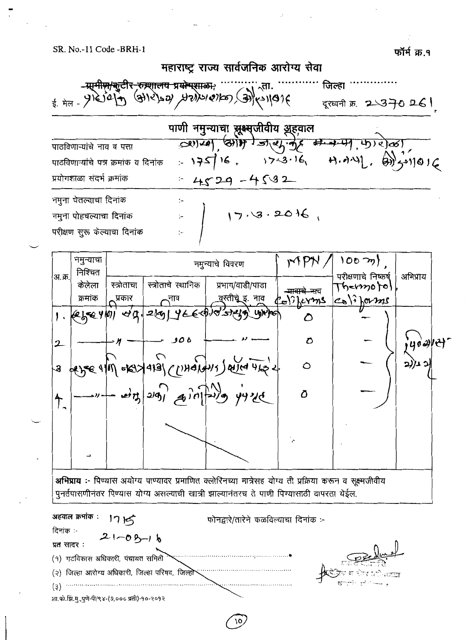फॉर्म क्र.१





अभिप्राय :- पिण्यास अयोग्य पाण्यावर प्रमाणित क्लोरिनच्या मात्रेसह योग्य ती प्रक्रिया करून व सुक्ष्मजीवीय पुनर्तपासणीनंतर पिण्यास योग्य असल्याची खात्री झाल्यानंतरच ते पाणी पिण्यासाठी वापरता येईल.

अहवाल क्रमांक : 1715 फोनद्वारे/तारेने कळविल्याचा दिनांक :-दिनांक :- $21 - 03 - 16$ प्रतं सादर: (१) गटविकास अधिकारी, पंचायत समिती (२) जिल्हा आरोग्य अधिकारी, जिल्हा परिषद, जिल्हो शा.फो.झि.मु.,पुणे-पी/९४-(७,००० प्रती)-१०-२०१२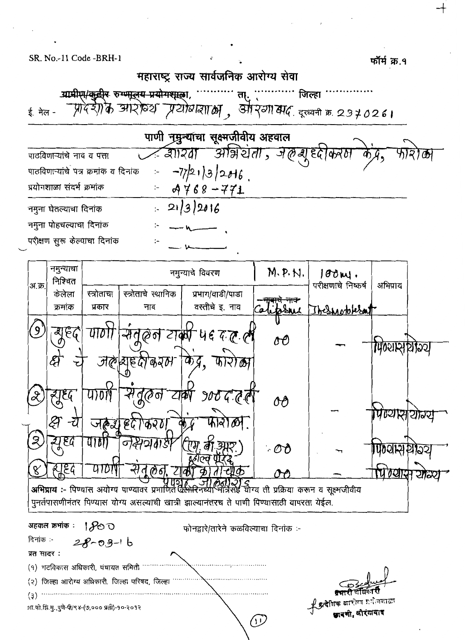फॉर्म क्र.१

|                                                                                                                                                                                            |                                                                      | महाराष्ट्र राज्य सार्वजनिक आरोग्य सेवा |                                  |                                           |                   |  |  |  |  |  |
|--------------------------------------------------------------------------------------------------------------------------------------------------------------------------------------------|----------------------------------------------------------------------|----------------------------------------|----------------------------------|-------------------------------------------|-------------------|--|--|--|--|--|
|                                                                                                                                                                                            | ग्रामीए।/कुद्वीर रुग् <del>णालय प्रयोगश्</del> रका,<br>जिल्हा<br>त।. |                                        |                                  |                                           |                   |  |  |  |  |  |
| ई. मेल -                                                                                                                                                                                   | -प्रादेशीके आरोव्य प्रयोवांबाल ,                                     |                                        |                                  | स्रो २वा सद, दूरध्वनी क्र. 2370261        |                   |  |  |  |  |  |
|                                                                                                                                                                                            |                                                                      | पाणी नुमुन्याचा सूक्ष्मजीवीय अहवाल     |                                  |                                           |                   |  |  |  |  |  |
| पाठविणाऱ्यांचे नाव व पत्ता                                                                                                                                                                 |                                                                      | डाारवा                                 | - ओन्नेर्यता , जलेन्यू दृष्टाकरम |                                           |                   |  |  |  |  |  |
| पाठविणाऱ्यांचे पत्र क्रमांक व दिनांक                                                                                                                                                       |                                                                      | $-77/219/2016$                         |                                  |                                           |                   |  |  |  |  |  |
| प्रयोगशाळा संदर्भ क्रमांक                                                                                                                                                                  |                                                                      | $4768 - 771$                           |                                  |                                           |                   |  |  |  |  |  |
| नमुना घेतल्याचा दिनांक                                                                                                                                                                     |                                                                      | 21/3/2016                              |                                  |                                           |                   |  |  |  |  |  |
| नमुना पोहचल्याचा दिनांक                                                                                                                                                                    |                                                                      |                                        |                                  |                                           |                   |  |  |  |  |  |
| परीक्षण सुरू केल्याचा दिनांक                                                                                                                                                               |                                                                      |                                        |                                  |                                           |                   |  |  |  |  |  |
| नमुन्याचा                                                                                                                                                                                  |                                                                      |                                        |                                  |                                           |                   |  |  |  |  |  |
| निश्चित<br>अ.क्र.                                                                                                                                                                          |                                                                      | नमुन्याचे विवरण                        | M. P. N.                         | $100 \mathrm{m}$ .<br>परीक्षणाचे निष्कर्ष | अभिप्राय          |  |  |  |  |  |
| केलेला                                                                                                                                                                                     | स्त्रोताचे स्थानिक<br>स्त्रोताचा                                     | प्रभाग/वाडी/पाडा                       |                                  |                                           |                   |  |  |  |  |  |
| क्रमांक                                                                                                                                                                                    | प्रकार<br>नाव                                                        | वस्तीचे इ. नाव                         | <del>मार्च नाक</del><br>website  | The notokerat                             |                   |  |  |  |  |  |
| 9<br>बाहर                                                                                                                                                                                  | $U$ <i>TO TT</i><br>स्रत                                             | लिन टाकी पह दल ली                      | oO                               |                                           | पिण्यासुर्घाञ्य   |  |  |  |  |  |
|                                                                                                                                                                                            | <u>जलब्धाहरू</u> करम                                                 | के द्रू,                               |                                  |                                           |                   |  |  |  |  |  |
| ह्युद्द                                                                                                                                                                                    | ଏ(∂ଟ                                                                 |                                        | OO                               |                                           | । पण्यास् । याञ्य |  |  |  |  |  |
| Z<br>$\epsilon$ <sub>G</sub><br>910                                                                                                                                                        | जल्ला हुद किरण                                                       | फारोळी $\cdot$                         | $\cdot$ OO                       |                                           | ७ଥାଧ              |  |  |  |  |  |
| દ્યકિલ<br>8                                                                                                                                                                                |                                                                      |                                        |                                  |                                           |                   |  |  |  |  |  |
| अभिप्राय :- पिण्यास अयोग्य पाण्यावर प्रमाणितं क्लिं<br>योग्य ती प्रक्रिया करून व सूक्ष्मजीवीय<br>पुनर्तपासणीनंतर पिण्यास योग्य असल्याची खात्री झाल्यानंतरच ते पाणी पिण्यासाठी वापरता येईल. |                                                                      |                                        |                                  |                                           |                   |  |  |  |  |  |
| अहवाल क्रमांक :<br>800<br>फोनद्वारे/तारेने कळविल्याचा दिनांक :-                                                                                                                            |                                                                      |                                        |                                  |                                           |                   |  |  |  |  |  |
| दिनांक :-<br>$28 - 09 - 16$                                                                                                                                                                |                                                                      |                                        |                                  |                                           |                   |  |  |  |  |  |
| प्रत सादर :                                                                                                                                                                                |                                                                      |                                        |                                  |                                           |                   |  |  |  |  |  |
| (१) गटविकास अधिकारी, पंचायत समिती                                                                                                                                                          |                                                                      |                                        |                                  |                                           |                   |  |  |  |  |  |
| जिल्हा आरोग्य अधिकारी, जिल्हा परिषद, जिल्हा<br>(3)                                                                                                                                         |                                                                      |                                        |                                  |                                           |                   |  |  |  |  |  |
| (3)<br><b>火क्रदेशिक बारो</b> ग्व प्रयोजकाळा<br>शा.फो.झि.मु.,पुणे-पी/९४-(७,००० प्रती)-१०-२०१२<br>खादणी, औरंगावाद                                                                            |                                                                      |                                        |                                  |                                           |                   |  |  |  |  |  |
|                                                                                                                                                                                            |                                                                      |                                        | 分心                               |                                           |                   |  |  |  |  |  |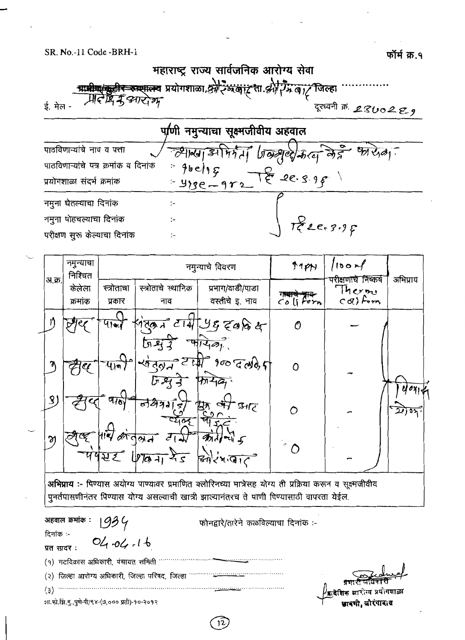SR. No.-11 Code -BRH-1

महाराष्ट्र राज्य सार्वजनिक आरोग्य सेवा **ग्रामीण/कुटीर रुम्पालय** प्रयोगशाळा,&रे<br>्रीमेलेप्टि मैं ड्यार्टा का stair al Sul Ingi जिल्हा ई. मेल -दूरध्वनी क्र. 2800229 प/णी नमुन्याचा सूक्ष्मजीवीय अहवाल पाठविणाऱ्यांचे नाव व पत्ता मेर्गता जिल्ह्या केरव लेहे  $\frac{1}{2}$  $-79100131$ पाठविणाऱ्यांचे पत्र क्रमांक व दिनांक  $96e/95$  $F_{\mathcal{C}}$  2e. 3.9 p प्रयोगशाळा संदर्भ क्रमांक  $-4ze-9re$ नमुना घेतल्याचा दिनांक  $\mathbf{I}$ Pee 3.95 नमुना पोहचल्याचा दिनांक  $\ddot{ }$ परीक्षण सुरू केल्याचा दिनांक  $\ddot{ }$ 

|        | नमुन्याचा<br>निश्चित                                                                                                                                                                                  | नमुन्याचे विवरण      |                             | Hpp                                | 100r<br>ारोक्षणाचे निष्कर्ष | अभिप्राय                 |  |  |
|--------|-------------------------------------------------------------------------------------------------------------------------------------------------------------------------------------------------------|----------------------|-----------------------------|------------------------------------|-----------------------------|--------------------------|--|--|
| अ.क्र. | केलेला<br>क्रमांक                                                                                                                                                                                     | स्त्रोताचा<br>प्रकार | स्त्रोताचे स्थानिक<br>नाव   | प्रभाग/वाडी/पाडा<br>वस्तीचे इ. नाव | Co li Forn                  | Thermo<br>$\in$ o() form |  |  |
|        |                                                                                                                                                                                                       |                      | ৰ্জ ন                       | JIA YE ZOBE                        |                             |                          |  |  |
|        |                                                                                                                                                                                                       |                      | $T_{\text{HIS}}$<br>√不      | $900$ $700$                        | $\Omega$                    |                          |  |  |
| 3)     |                                                                                                                                                                                                       |                      | 87315                       |                                    | ∩                           |                          |  |  |
| M      |                                                                                                                                                                                                       | पपस्ट                | $\vec{d}$  <br>$1870 + 125$ | 3024770                            | $\hat{C}$                   |                          |  |  |
|        | अभिप्राय :- पिण्यास अयोग्य पाण्यावर प्रमाणित क्लोरिनच्या मात्रेसह योग्य ती प्रक्रिया करून व सूक्ष्मजीवीय<br>पुनर्तपासणीनंतर पिण्यास योग्य असल्याची खात्री झाल्यानंतरच ते पाणी पिण्यासाठी वापरता येईल. |                      |                             |                                    |                             |                          |  |  |

| अहवाल क्रमाक : $\overline{1}$ (93) (7)          | फोनद्वारे/तारेने कळविल्याचा दिनांक :-                            |
|-------------------------------------------------|------------------------------------------------------------------|
| दिनांक :-                                       |                                                                  |
| 04.04.16<br>प्रत सादर:                          |                                                                  |
| (१) गटविकास अधिकारी, पंचायत समिती               |                                                                  |
| (२) जिल्हा आरोग्य अधिकारी, जिल्हा परिषद, जिल्हा |                                                                  |
| (3)                                             | प्रशासी जातकारा<br>वादेशिक आरोग्य प्रयोगशाळा<br>खाबशी. खोरंगादाद |
| शा.फो.झि.मु.,पुणे-पी/९४-(७,००० प्रती)-१०-२०१२   |                                                                  |

12

फॉर्म क्र.१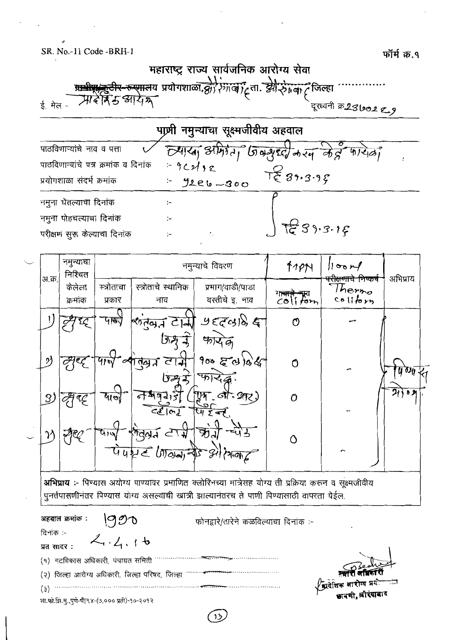SR. No.-11 Code -BRH-1

महाराष्ट्र राज्य सार्वजनिक आरोग्य सेवा <del>प्राधीपाङ्कुटीर-रूएगाल</del>य प्रयोगशाळा*, क्षेत्र*<br>स्रोटेन्सि*ं अ*निक् .<br>रेगाला ट्रेना. झी रेगला ट्रेजिल्हा ई. मेल -दूरध्वनी क्र281002 ९ 9 पाणी नमुन्याचा सूक्ष्मजीवीय अहवाल ल्याया अमिरेता जिल्लुद्दी करन के द्र फायेला पाठविणाऱ्यांचे नाव व पत्ता पाठविणाऱ्यांचे पत्र क्रमांक व दिनांक  $-9c$ 2/12  $T_{\xi}^{2}\frac{1}{3},\frac{1}{3},\frac{1}{5}$ प्रयोगशाळा संदर्भ क्रमांक  $42e6 - 300$  $\mathbb{I}$ नमुना घेतल्याचा दिनांक  $\mathbb{R}$ नमुना पोहचल्याचा दिनांक ٠.  $239.3.15$ परीक्षण सूरू केल्याचा दिनांक

|               | नमुन्याचा<br>निश्चित | नमुन्याचे विवरण      |                           | $11P$ N<br>100r                    |         |                                                    |          |  |
|---------------|----------------------|----------------------|---------------------------|------------------------------------|---------|----------------------------------------------------|----------|--|
| अ.क्र.        | केलेला<br>क्रमांक    | स्त्रोताचा<br>प्रकार | स्त्रोताचे स्थानिक<br>नाव | प्रभाग/वाडी/पाडा<br>वस्तीचे इ. नाव | colifom | <del>रीक्षणाचे निष्कर्ष</del><br>Thermo<br>coifbtn | अभिप्राय |  |
|               |                      | पाडी                 | ली क्रिकेट स्टानी         | $Y$ $(T \otimes S)$                | ტ       |                                                    |          |  |
| ッ             |                      |                      | टाम<br>तेव्य<br>527       | 40749<br>90050966<br><b>VIIZE</b>  | Ω       |                                                    | 4 ozu    |  |
| $\mathcal{S}$ |                      | દ્યાન                | अवन्<br>$C_2$ $ m_d $     | ানী- প্রদুস্                       | Õ       |                                                    | $21)$ 83 |  |
|               |                      | ५19                  | Guzze March 75            | ऋ<br>$\sqrt{2}$                    | Λ       | ∽                                                  |          |  |
|               |                      |                      |                           |                                    |         |                                                    |          |  |

अभिप्राय :- पिण्यास अयोग्य पाण्यावर प्रमाणित क्लोरिनच्या मात्रेसह योग्य ती प्रक्रिया करून व सूक्ष्मजीवीय पुनर्तपासणीनंतर पिण्यास योग्य असल्याची खात्री झाल्यानंतरच ते पाणी पिण्यासाठी वापरता येईल.

अहवाल क्रमांक :  $900$ फोनद्वारे/तारेने कळविल्याचा दिनांक :-दिनांक :- $2.4.16$ प्रत सादर: (१) गटविकास अधिकारी, पंचायत समिती (२) जिल्हा आरोग्य अधिकारी, जिल्हा परिषद, जिल्हा  $(3)$ शा.फो.झि.मु.,पुणे-पी/९४-(७,००० प्रती)-१०-२०१२

 $12$ 

फॉर्म क्र.१